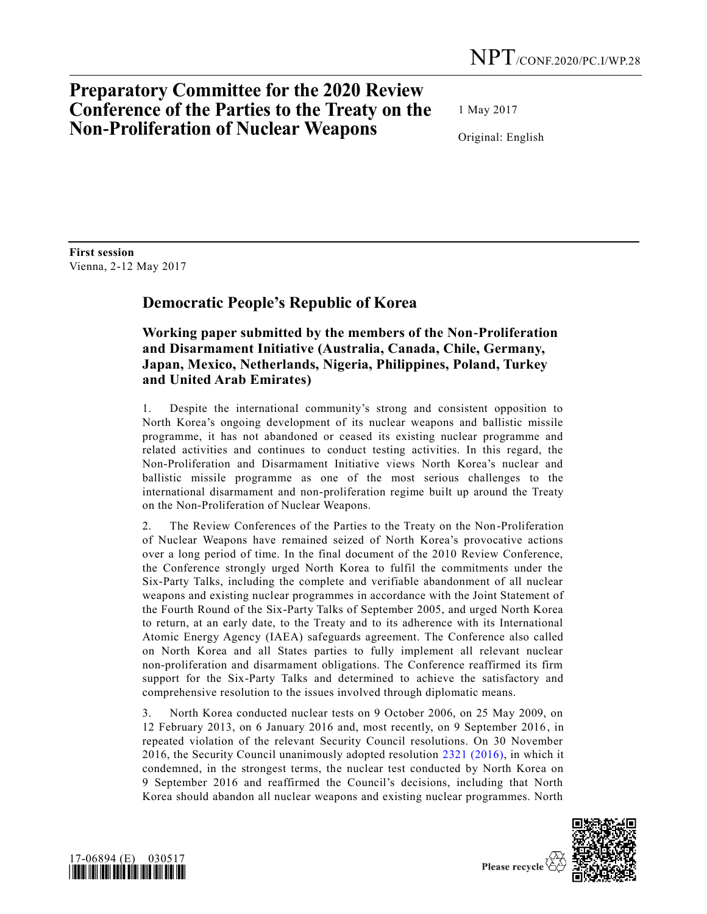## **Preparatory Committee for the 2020 Review Conference of the Parties to the Treaty on the Non-Proliferation of Nuclear Weapons**

1 May 2017

Original: English

**First session** Vienna, 2-12 May 2017

## **Democratic People's Republic of Korea**

## **Working paper submitted by the members of the Non-Proliferation and Disarmament Initiative (Australia, Canada, Chile, Germany, Japan, Mexico, Netherlands, Nigeria, Philippines, Poland, Turkey and United Arab Emirates)**

1. Despite the international community's strong and consistent opposition to North Korea's ongoing development of its nuclear weapons and ballistic missile programme, it has not abandoned or ceased its existing nuclear programme and related activities and continues to conduct testing activities. In this regard, the Non-Proliferation and Disarmament Initiative views North Korea's nuclear and ballistic missile programme as one of the most serious challenges to the international disarmament and non-proliferation regime built up around the Treaty on the Non-Proliferation of Nuclear Weapons.

2. The Review Conferences of the Parties to the Treaty on the Non-Proliferation of Nuclear Weapons have remained seized of North Korea's provocative actions over a long period of time. In the final document of the 2010 Review Conference, the Conference strongly urged North Korea to fulfil the commitments under the Six-Party Talks, including the complete and verifiable abandonment of all nuclear weapons and existing nuclear programmes in accordance with the Joint Statement of the Fourth Round of the Six-Party Talks of September 2005, and urged North Korea to return, at an early date, to the Treaty and to its adherence with its International Atomic Energy Agency (IAEA) safeguards agreement. The Conference also called on North Korea and all States parties to fully implement all relevant nuclear non-proliferation and disarmament obligations. The Conference reaffirmed its firm support for the Six-Party Talks and determined to achieve the satisfactory and comprehensive resolution to the issues involved through diplomatic means.

3. North Korea conducted nuclear tests on 9 October 2006, on 25 May 2009, on 12 February 2013, on 6 January 2016 and, most recently, on 9 September 2016, in repeated violation of the relevant Security Council resolutions. On 30 November 2016, the Security Council unanimously adopted resolution [2321 \(2016\),](http://undocs.org/S/RES/2321(2016)) in which it condemned, in the strongest terms, the nuclear test conducted by North Korea on 9 September 2016 and reaffirmed the Council's decisions, including that North Korea should abandon all nuclear weapons and existing nuclear programmes. North